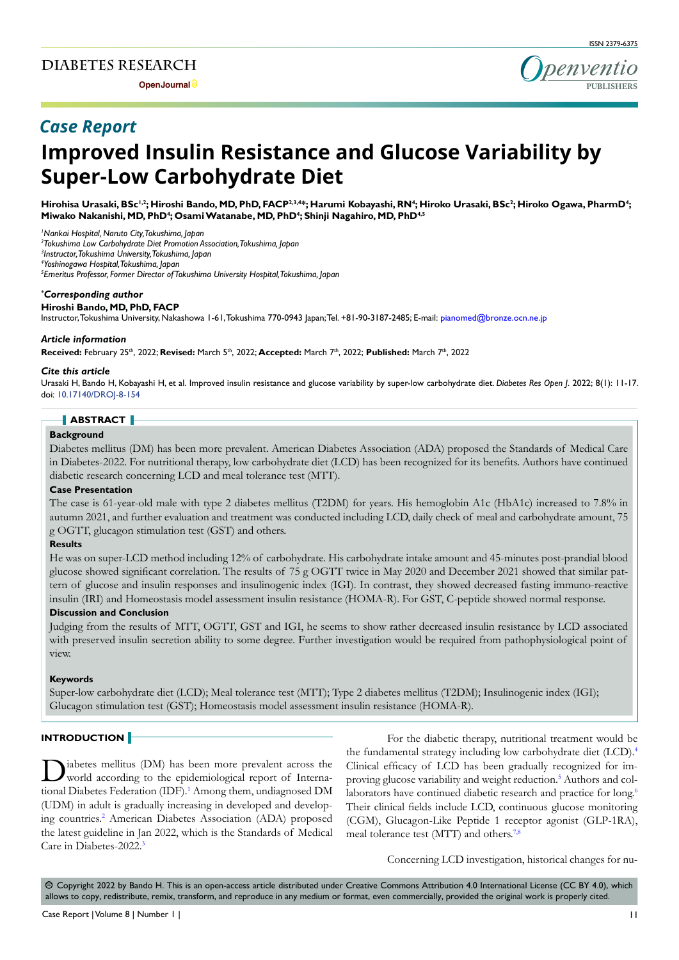**Open Journal**



# **Improved Insulin Resistance and Glucose Variability by Super-Low Carbohydrate Diet** *Case Report*

Hirohisa Urasaki, BSc<sup>1,2</sup>; Hiroshi Bando, MD, PhD, FACP<sup>2,3,4</sup>\*; Harumi Kobayashi, RN<sup>4</sup>; Hiroko Urasaki, BSc<sup>2</sup>; Hiroko Ogawa, PharmD<sup>4</sup>; **Miwako Nakanishi, MD, PhD4 ; Osami Watanabe, MD, PhD4 ; Shinji Nagahiro, MD, PhD4,5**

*1 Nankai Hospital, Naruto City, Tokushima, Japan*

*2 Tokushima Low Carbohydrate Diet Promotion Association, Tokushima, Japan*

*3 Instructor, Tokushima University, Tokushima, Japan*

*4 Yoshinogawa Hospital, Tokushima, Japan*

*5 Emeritus Professor, Former Director of Tokushima University Hospital, Tokushima, Japan*

#### *\* Corresponding author*

**Hiroshi Bando, MD, PhD, FACP**

Instructor, Tokushima University, Nakashowa 1-61, Tokushima 770-0943 Japan; Tel. +81-90-3187-2485; E-mail: pianomed@bronze.ocn.ne.jp

#### *Article information*

**Received:** February 25th, 2022; **Revised:** March 5th, 2022; **Accepted:** March 7th, 2022; **Published:** March 7th, 2022

#### *Cite this article*

Urasaki H, Bando H, Kobayashi H, et al. Improved insulin resistance and glucose variability by super-low carbohydrate diet. *Diabetes Res Open J*. 2022; 8(1): 11-17. doi: [10.17140/DROJ-8-154](http://dx.doi.org/10.17140/DROJ-8-154)

## **ABSTRACT**

#### **Background**

Diabetes mellitus (DM) has been more prevalent. American Diabetes Association (ADA) proposed the Standards of Medical Care in Diabetes-2022. For nutritional therapy, low carbohydrate diet (LCD) has been recognized for its benefits. Authors have continued diabetic research concerning LCD and meal tolerance test (MTT).

#### **Case Presentation**

The case is 61-year-old male with type 2 diabetes mellitus (T2DM) for years. His hemoglobin A1c (HbA1c) increased to 7.8% in autumn 2021, and further evaluation and treatment was conducted including LCD, daily check of meal and carbohydrate amount, 75 g OGTT, glucagon stimulation test (GST) and others.

## **Results**

He was on super-LCD method including 12% of carbohydrate. His carbohydrate intake amount and 45-minutes post-prandial blood glucose showed significant correlation. The results of 75 g OGTT twice in May 2020 and December 2021 showed that similar pattern of glucose and insulin responses and insulinogenic index (IGI). In contrast, they showed decreased fasting immuno-reactive insulin (IRI) and Homeostasis model assessment insulin resistance (HOMA-R). For GST, C-peptide showed normal response.

#### **Discussion and Conclusion**

Judging from the results of MTT, OGTT, GST and IGI, he seems to show rather decreased insulin resistance by LCD associated with preserved insulin secretion ability to some degree. Further investigation would be required from pathophysiological point of view.

## **Keywords**

Super-low carbohydrate diet (LCD); Meal tolerance test (MTT); Type 2 diabetes mellitus (T2DM); Insulinogenic index (IGI); Glucagon stimulation test (GST); Homeostasis model assessment insulin resistance (HOMA-R).

## **INTRODUCTION**

Diabetes mellitus (DM) has been more prevalent across the world according to the epidemiological report of International Diabetes Federation (IDF).<sup>1</sup> Among them, undiagnosed DM (UDM) in adult is gradually increasing in developed and developing countries.<sup>2</sup> American Diabetes Association (ADA) proposed the latest guideline in Jan 2022, which is the Standards of Medical Care in Diabetes-2022[.3](#page-5-2)

For the diabetic therapy, nutritional treatment would be the fundamental strategy including low carbohydrate diet (LCD).[4](#page-5-3) Clinical efficacy of LCD has been gradually recognized for improving glucose variability and weight reduction.<sup>5</sup> Authors and col-laborators have continued diabetic research and practice for long.<sup>[6](#page-5-5)</sup> Their clinical fields include LCD, continuous glucose monitoring (CGM), Glucagon-Like Peptide 1 receptor agonist (GLP-1RA), meal tolerance test (MTT) and others.<sup>7,8</sup>

Concerning LCD investigation, historical changes for nu-

 $\circledcirc$  Copyright 2022 by Bando H. This is an open-access article distributed under Creative Commons Attribution 4.0 International License (CC BY 4.0), which allows to copy, redistribute, remix, transform, and reproduce in any medium or format, even commercially, provided the original work is properly cited.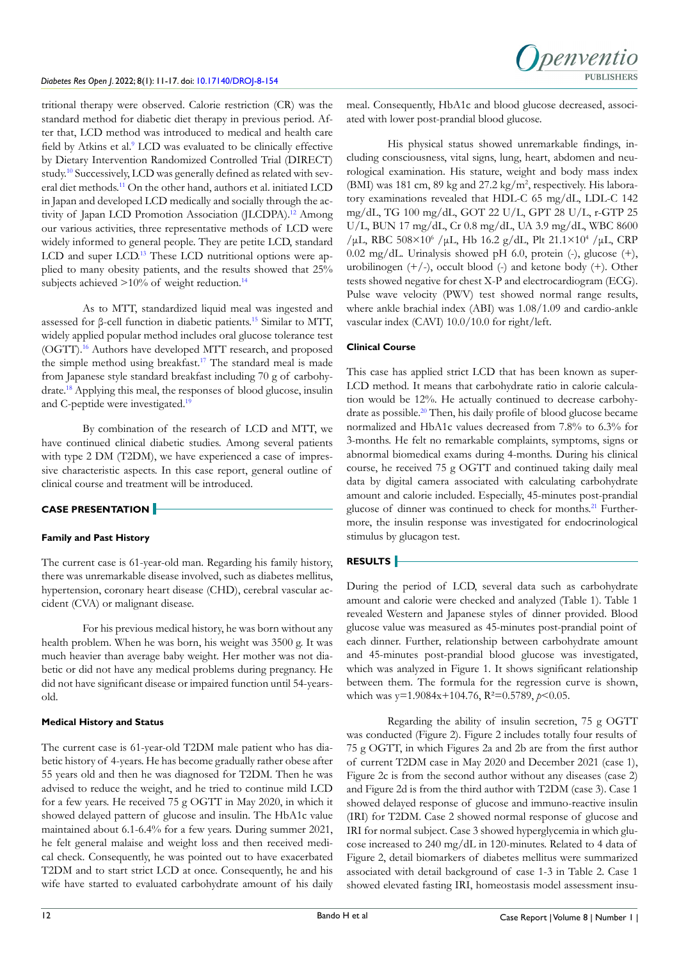tritional therapy were observed. Calorie restriction (CR) was the standard method for diabetic diet therapy in previous period. After that, LCD method was introduced to medical and health care field by Atkins et al.<sup>[9](#page-5-7)</sup> LCD was evaluated to be clinically effective by Dietary Intervention Randomized Controlled Trial (DIRECT) study[.10](#page-5-8) Successively, LCD was generally defined as related with several diet methods[.11](#page-5-9) On the other hand, authors et al. initiated LCD in Japan and developed LCD medically and socially through the activity of Japan LCD Promotion Association (JLCDPA).<sup>12</sup> Among our various activities, three representative methods of LCD were widely informed to general people. They are petite LCD, standard LCD and super LCD.<sup>[13](#page-5-11)</sup> These LCD nutritional options were applied to many obesity patients, and the results showed that 25% subjects achieved  $>10\%$  of weight reduction.<sup>[14](#page-5-12)</sup>

As to MTT, standardized liquid meal was ingested and assessed for β-cell function in diabetic patients.[15](#page-5-13) Similar to MTT, widely applied popular method includes oral glucose tolerance test (OGTT)[.16](#page-5-14) Authors have developed MTT research, and proposed the simple method using breakfast.<sup>17</sup> The standard meal is made from Japanese style standard breakfast including 70 g of carbohydrate.[18](#page-5-16) Applying this meal, the responses of blood glucose, insulin and C-peptide were investigated.<sup>19</sup>

By combination of the research of LCD and MTT, we have continued clinical diabetic studies. Among several patients with type 2 DM (T2DM), we have experienced a case of impressive characteristic aspects. In this case report, general outline of clinical course and treatment will be introduced.

# **CASE PRESENTATION**

# **Family and Past History**

The current case is 61-year-old man. Regarding his family history, there was unremarkable disease involved, such as diabetes mellitus, hypertension, coronary heart disease (CHD), cerebral vascular accident (CVA) or malignant disease.

For his previous medical history, he was born without any health problem. When he was born, his weight was 3500 g. It was much heavier than average baby weight. Her mother was not diabetic or did not have any medical problems during pregnancy. He did not have significant disease or impaired function until 54-yearsold.

# **Medical History and Status**

The current case is 61-year-old T2DM male patient who has diabetic history of 4-years. He has become gradually rather obese after 55 years old and then he was diagnosed for T2DM. Then he was advised to reduce the weight, and he tried to continue mild LCD for a few years. He received 75 g OGTT in May 2020, in which it showed delayed pattern of glucose and insulin. The HbA1c value maintained about 6.1-6.4% for a few years. During summer 2021, he felt general malaise and weight loss and then received medical check. Consequently, he was pointed out to have exacerbated T2DM and to start strict LCD at once. Consequently, he and his wife have started to evaluated carbohydrate amount of his daily

meal. Consequently, HbA1c and blood glucose decreased, associated with lower post-prandial blood glucose.

His physical status showed unremarkable findings, including consciousness, vital signs, lung, heart, abdomen and neurological examination. His stature, weight and body mass index (BMI) was 181 cm, 89 kg and 27.2 kg/m<sup>2</sup>, respectively. His laboratory examinations revealed that HDL-C 65 mg/dL, LDL-C 142 mg/dL, TG 100 mg/dL, GOT 22 U/L, GPT 28 U/L, r-GTP 25 U/L, BUN 17 mg/dL, Cr 0.8 mg/dL, UA 3.9 mg/dL, WBC 8600 /μL, RBC  $508 \times 10^6$  /μL, Hb 16.2 g/dL, Plt 21.1×10<sup>4</sup> /μL, CRP 0.02 mg/dL. Urinalysis showed pH 6.0, protein (-), glucose (+), urobilinogen (+/-), occult blood (-) and ketone body (+). Other tests showed negative for chest X-P and electrocardiogram (ECG). Pulse wave velocity (PWV) test showed normal range results, where ankle brachial index (ABI) was 1.08/1.09 and cardio-ankle vascular index (CAVI) 10.0/10.0 for right/left.

# **Clinical Course**

This case has applied strict LCD that has been known as super-LCD method. It means that carbohydrate ratio in calorie calculation would be 12%. He actually continued to decrease carbohy-drate as possible.<sup>[20](#page-5-18)</sup> Then, his daily profile of blood glucose became normalized and HbA1c values decreased from 7.8% to 6.3% for 3-months. He felt no remarkable complaints, symptoms, signs or abnormal biomedical exams during 4-months. During his clinical course, he received 75 g OGTT and continued taking daily meal data by digital camera associated with calculating carbohydrate amount and calorie included. Especially, 45-minutes post-prandial glucose of dinner was continued to check for months[.21](#page-6-0) Furthermore, the insulin response was investigated for endocrinological stimulus by glucagon test.

# **RESULTS**

During the period of LCD, several data such as carbohydrate amount and calorie were checked and analyzed (Table 1). Table 1 revealed Western and Japanese styles of dinner provided. Blood glucose value was measured as 45-minutes post-prandial point of each dinner. Further, relationship between carbohydrate amount and 45-minutes post-prandial blood glucose was investigated, which was analyzed in Figure 1. It shows significant relationship between them. The formula for the regression curve is shown, which was y=1.9084x+104.76, R<sup>2</sup>=0.5789, *p*<0.05.

Regarding the ability of insulin secretion, 75 g OGTT was conducted (Figure 2). Figure 2 includes totally four results of 75 g OGTT, in which Figures 2a and 2b are from the first author of current T2DM case in May 2020 and December 2021 (case 1), Figure 2c is from the second author without any diseases (case 2) and Figure 2d is from the third author with T2DM (case 3). Case 1 showed delayed response of glucose and immuno-reactive insulin (IRI) for T2DM. Case 2 showed normal response of glucose and IRI for normal subject. Case 3 showed hyperglycemia in which glucose increased to 240 mg/dL in 120-minutes. Related to 4 data of Figure 2, detail biomarkers of diabetes mellitus were summarized associated with detail background of case 1-3 in Table 2. Case 1 showed elevated fasting IRI, homeostasis model assessment insu-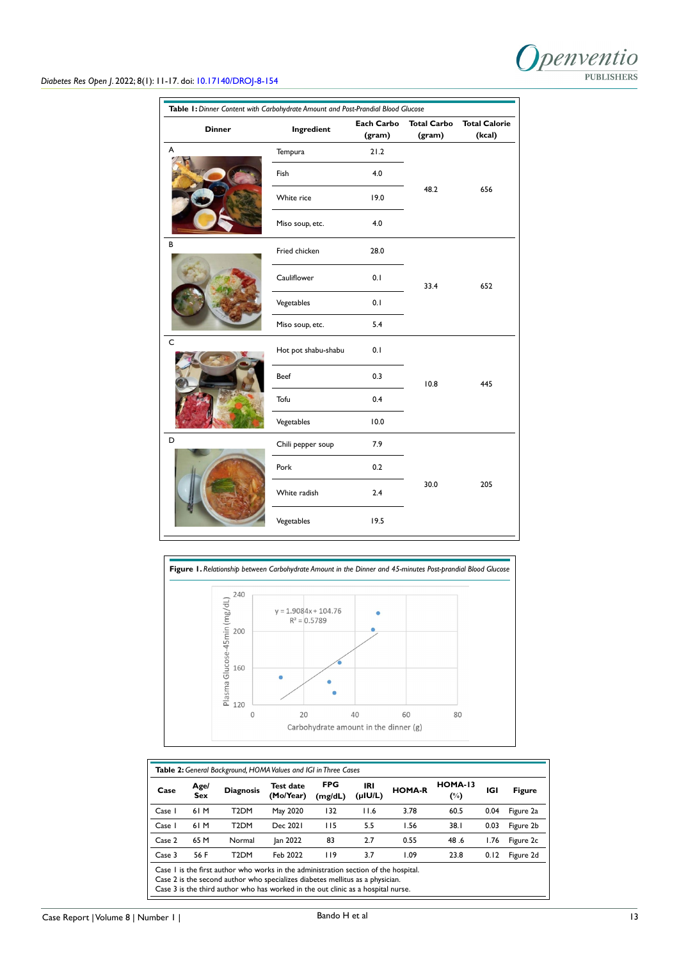

# *Diabetes Res Open J*. 2022; 8(1): 11-17. doi: [10.17140/DROJ-8-154](http://dx.doi.org/10.17140/DROJ-8-154)

| Table 1: Dinner Content with Carbohydrate Amount and Post-Prandial Blood Glucose<br><b>Each Carbo</b><br><b>Total Carbo</b><br><b>Total Calorie</b> |                            |        |        |        |  |  |  |  |  |
|-----------------------------------------------------------------------------------------------------------------------------------------------------|----------------------------|--------|--------|--------|--|--|--|--|--|
| <b>Dinner</b>                                                                                                                                       | Ingredient                 | (gram) | (gram) | (kcal) |  |  |  |  |  |
| A                                                                                                                                                   | Tempura                    | 21.2   |        |        |  |  |  |  |  |
|                                                                                                                                                     | Fish                       | 4.0    |        |        |  |  |  |  |  |
|                                                                                                                                                     | 19.0<br>White rice         |        | 48.2   | 656    |  |  |  |  |  |
|                                                                                                                                                     | Miso soup, etc.            | 4.0    |        |        |  |  |  |  |  |
| B                                                                                                                                                   | Fried chicken              | 28.0   |        | 652    |  |  |  |  |  |
|                                                                                                                                                     | Cauliflower                | 0.1    | 33.4   |        |  |  |  |  |  |
|                                                                                                                                                     | Vegetables<br>0.1          |        |        |        |  |  |  |  |  |
|                                                                                                                                                     | Miso soup, etc.            | 5.4    |        |        |  |  |  |  |  |
| $\mathsf{C}$                                                                                                                                        | Hot pot shabu-shabu<br>0.1 |        |        |        |  |  |  |  |  |
|                                                                                                                                                     | 0.3<br>Beef                |        | 10.8   | 445    |  |  |  |  |  |
|                                                                                                                                                     | Tofu<br>0.4                |        |        |        |  |  |  |  |  |
|                                                                                                                                                     | Vegetables                 | 10.0   |        |        |  |  |  |  |  |
| D                                                                                                                                                   | Chili pepper soup          | 7.9    |        |        |  |  |  |  |  |
|                                                                                                                                                     | 0.2<br>Pork                |        |        |        |  |  |  |  |  |
|                                                                                                                                                     | White radish               | 2.4    | 30.0   | 205    |  |  |  |  |  |
|                                                                                                                                                     | Vegetables                 | 19.5   |        |        |  |  |  |  |  |



| Case   | Age/<br>Sex | <b>Diagnosis</b>                                                                                                                                                                                                                                         | <b>Test date</b><br>(Mo/Year) | <b>FPG</b><br>(mg/dL) | IRI<br>$($ µIU/L $)$ | <b>HOMA-R</b> | <b>HOMA-13</b><br>$(\%)$ | IGI  | <b>Figure</b> |
|--------|-------------|----------------------------------------------------------------------------------------------------------------------------------------------------------------------------------------------------------------------------------------------------------|-------------------------------|-----------------------|----------------------|---------------|--------------------------|------|---------------|
| Case 1 | 61 M        | T <sub>2</sub> DM                                                                                                                                                                                                                                        | May 2020                      | 132                   | 11.6                 | 3.78          | 60.5                     | 0.04 | Figure 2a     |
| Case 1 | 61 M        | T <sub>2</sub> DM                                                                                                                                                                                                                                        | Dec 2021                      | 115                   | 5.5                  | 1.56          | 38.1                     | 0.03 | Figure 2b     |
| Case 2 | 65 M        | Normal                                                                                                                                                                                                                                                   | Jan 2022                      | 83                    | 2.7                  | 0.55          | 48.6                     | 1.76 | Figure 2c     |
| Case 3 | 56 F        | T <sub>2</sub> DM                                                                                                                                                                                                                                        | Feb 2022                      | 119                   | 3.7                  | 1.09          | 23.8                     | 0.12 | Figure 2d     |
|        |             | Case I is the first author who works in the administration section of the hospital.<br>Case 2 is the second author who specializes diabetes mellitus as a physician.<br>Case 3 is the third author who has worked in the out clinic as a hospital nurse. |                               |                       |                      |               |                          |      |               |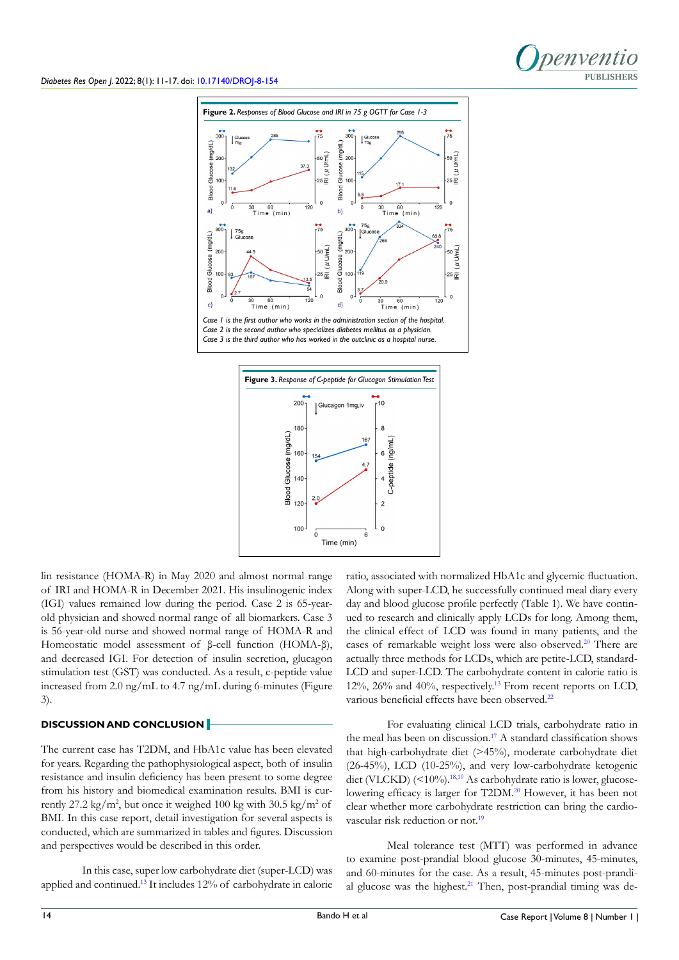







lin resistance (HOMA-R) in May 2020 and almost normal range of IRI and HOMA-R in December 2021. His insulinogenic index (IGI) values remained low during the period. Case 2 is 65-yearold physician and showed normal range of all biomarkers. Case 3 is 56-year-old nurse and showed normal range of HOMA-R and Homeostatic model assessment of β-cell function (HOMA-β), and decreased IGI. For detection of insulin secretion, glucagon stimulation test (GST) was conducted. As a result, c-peptide value increased from 2.0 ng/mL to 4.7 ng/mL during 6-minutes (Figure 3).

## **DISCUSSION AND CONCLUSION**

The current case has T2DM, and HbA1c value has been elevated for years. Regarding the pathophysiological aspect, both of insulin resistance and insulin deficiency has been present to some degree from his history and biomedical examination results. BMI is currently 27.2 kg/m<sup>2</sup>, but once it weighed 100 kg with 30.5 kg/m<sup>2</sup> of BMI. In this case report, detail investigation for several aspects is conducted, which are summarized in tables and figures. Discussion and perspectives would be described in this order.

In this case, super low carbohydrate diet (super-LCD) was applied and continued[.13](#page-5-11) It includes 12% of carbohydrate in calorie ratio, associated with normalized HbA1c and glycemic fluctuation. Along with super-LCD, he successfully continued meal diary every day and blood glucose profile perfectly (Table 1). We have continued to research and clinically apply LCDs for long. Among them, the clinical effect of LCD was found in many patients, and the cases of remarkable weight loss were also observed.<sup>[20](#page-5-18)</sup> There are actually three methods for LCDs, which are petite-LCD, standard-LCD and super-LCD. The carbohydrate content in calorie ratio is  $12\%$ ,  $26\%$  and  $40\%$ , respectively.<sup>13</sup> From recent reports on LCD, various beneficial effects have been observed.<sup>[22](#page-6-1)</sup>

For evaluating clinical LCD trials, carbohydrate ratio in the meal has been on discussion.<sup>17</sup> A standard classification shows that high-carbohydrate diet (>45%), moderate carbohydrate diet (26-45%), LCD (10-25%), and very low-carbohydrate ketogenic diet (VLCKD) (<10%).<sup>18,19</sup> As carbohydrate ratio is lower, glucose-lowering efficacy is larger for T2DM.<sup>[20](#page-5-18)</sup> However, it has been not clear whether more carbohydrate restriction can bring the cardiovascular risk reduction or not.<sup>19</sup>

Meal tolerance test (MTT) was performed in advance to examine post-prandial blood glucose 30-minutes, 45-minutes, and 60-minutes for the case. As a result, 45-minutes post-prandial glucose was the highest. $21$  Then, post-prandial timing was de-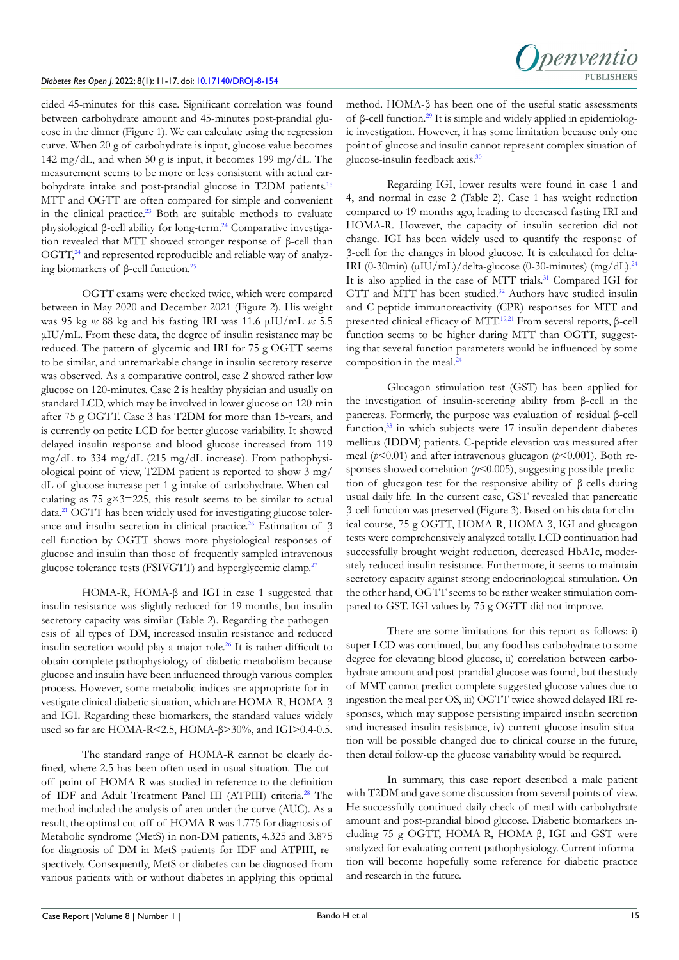

cided 45-minutes for this case. Significant correlation was found between carbohydrate amount and 45-minutes post-prandial glucose in the dinner (Figure 1). We can calculate using the regression curve. When 20 g of carbohydrate is input, glucose value becomes 142 mg/dL, and when 50 g is input, it becomes 199 mg/dL. The measurement seems to be more or less consistent with actual carbohydrate intake and post-prandial glucose in T2DM patients.<sup>18</sup> MTT and OGTT are often compared for simple and convenient in the clinical practice.<sup>23</sup> Both are suitable methods to evaluate physiological β-cell ability for long-term.[24](#page-6-3) Comparative investigation revealed that MTT showed stronger response of β-cell than  $OGTT<sub>1</sub><sup>24</sup>$  and represented reproducible and reliable way of analyzing biomarkers of β-cell function.[25](#page-6-4)

OGTT exams were checked twice, which were compared between in May 2020 and December 2021 (Figure 2). His weight was 95 kg *vs* 88 kg and his fasting IRI was 11.6 μIU/mL *vs* 5.5 μIU/mL. From these data, the degree of insulin resistance may be reduced. The pattern of glycemic and IRI for 75 g OGTT seems to be similar, and unremarkable change in insulin secretory reserve was observed. As a comparative control, case 2 showed rather low glucose on 120-minutes. Case 2 is healthy physician and usually on standard LCD, which may be involved in lower glucose on 120-min after 75 g OGTT. Case 3 has T2DM for more than 15-years, and is currently on petite LCD for better glucose variability. It showed delayed insulin response and blood glucose increased from 119 mg/dL to 334 mg/dL (215 mg/dL increase). From pathophysiological point of view, T2DM patient is reported to show 3 mg/ dL of glucose increase per 1 g intake of carbohydrate. When calculating as 75 g $\times$ 3=225, this result seems to be similar to actual data[.21](#page-6-0) OGTT has been widely used for investigating glucose tolerance and insulin secretion in clinical practice[.26](#page-6-5) Estimation of β cell function by OGTT shows more physiological responses of glucose and insulin than those of frequently sampled intravenous glucose tolerance tests (FSIVGTT) and hyperglycemic clamp.<sup>[27](#page-6-6)</sup>

HOMA-R, HOMA-β and IGI in case 1 suggested that insulin resistance was slightly reduced for 19-months, but insulin secretory capacity was similar (Table 2). Regarding the pathogenesis of all types of DM, increased insulin resistance and reduced insulin secretion would play a major role[.26](#page-6-5) It is rather difficult to obtain complete pathophysiology of diabetic metabolism because glucose and insulin have been influenced through various complex process. However, some metabolic indices are appropriate for investigate clinical diabetic situation, which are HOMA-R, HOMA-β and IGI. Regarding these biomarkers, the standard values widely used so far are HOMA-R<2.5, HOMA-β>30%, and IGI>0.4-0.5.

The standard range of HOMA-R cannot be clearly defined, where 2.5 has been often used in usual situation. The cutoff point of HOMA-R was studied in reference to the definition of IDF and Adult Treatment Panel III (ATPIII) criteria.<sup>28</sup> The method included the analysis of area under the curve (AUC). As a result, the optimal cut-off of HOMA-R was 1.775 for diagnosis of Metabolic syndrome (MetS) in non-DM patients, 4.325 and 3.875 for diagnosis of DM in MetS patients for IDF and ATPIII, respectively. Consequently, MetS or diabetes can be diagnosed from various patients with or without diabetes in applying this optimal

method. HOMA-β has been one of the useful static assessments of β-cell function.<sup>[29](#page-6-8)</sup> It is simple and widely applied in epidemiologic investigation. However, it has some limitation because only one point of glucose and insulin cannot represent complex situation of glucose-insulin feedback axis.[30](#page-6-9)

Regarding IGI, lower results were found in case 1 and 4, and normal in case 2 (Table 2). Case 1 has weight reduction compared to 19 months ago, leading to decreased fasting IRI and HOMA-R. However, the capacity of insulin secretion did not change. IGI has been widely used to quantify the response of β-cell for the changes in blood glucose. It is calculated for delta-IRI (0-30min) (µIU/mL)/delta-glucose (0-30-minutes) (mg/dL).[24](#page-6-3) It is also applied in the case of MTT trials[.31](#page-6-10) Compared IGI for GTT and MTT has been studied.<sup>32</sup> Authors have studied insulin and C-peptide immunoreactivity (CPR) responses for MTT and presented clinical efficacy of MTT.[19,](#page-5-17)[21](#page-6-0) From several reports, β-cell function seems to be higher during MTT than OGTT, suggesting that several function parameters would be influenced by some composition in the meal.<sup>[24](#page-6-3)</sup>

Glucagon stimulation test (GST) has been applied for the investigation of insulin-secreting ability from β-cell in the pancreas. Formerly, the purpose was evaluation of residual β-cell function,<sup>[33](#page-6-12)</sup> in which subjects were 17 insulin-dependent diabetes mellitus (IDDM) patients. C-peptide elevation was measured after meal (*p*<0.01) and after intravenous glucagon (*p*<0.001). Both responses showed correlation ( $p$ <0.005), suggesting possible prediction of glucagon test for the responsive ability of β-cells during usual daily life. In the current case, GST revealed that pancreatic β-cell function was preserved (Figure 3). Based on his data for clinical course, 75 g OGTT, HOMA-R, HOMA-β, IGI and glucagon tests were comprehensively analyzed totally. LCD continuation had successfully brought weight reduction, decreased HbA1c, moderately reduced insulin resistance. Furthermore, it seems to maintain secretory capacity against strong endocrinological stimulation. On the other hand, OGTT seems to be rather weaker stimulation compared to GST. IGI values by 75 g OGTT did not improve.

There are some limitations for this report as follows: i) super LCD was continued, but any food has carbohydrate to some degree for elevating blood glucose, ii) correlation between carbohydrate amount and post-prandial glucose was found, but the study of MMT cannot predict complete suggested glucose values due to ingestion the meal per OS, iii) OGTT twice showed delayed IRI responses, which may suppose persisting impaired insulin secretion and increased insulin resistance, iv) current glucose-insulin situation will be possible changed due to clinical course in the future, then detail follow-up the glucose variability would be required.

In summary, this case report described a male patient with T2DM and gave some discussion from several points of view. He successfully continued daily check of meal with carbohydrate amount and post-prandial blood glucose. Diabetic biomarkers including 75 g OGTT, HOMA-R, HOMA-β, IGI and GST were analyzed for evaluating current pathophysiology. Current information will become hopefully some reference for diabetic practice and research in the future.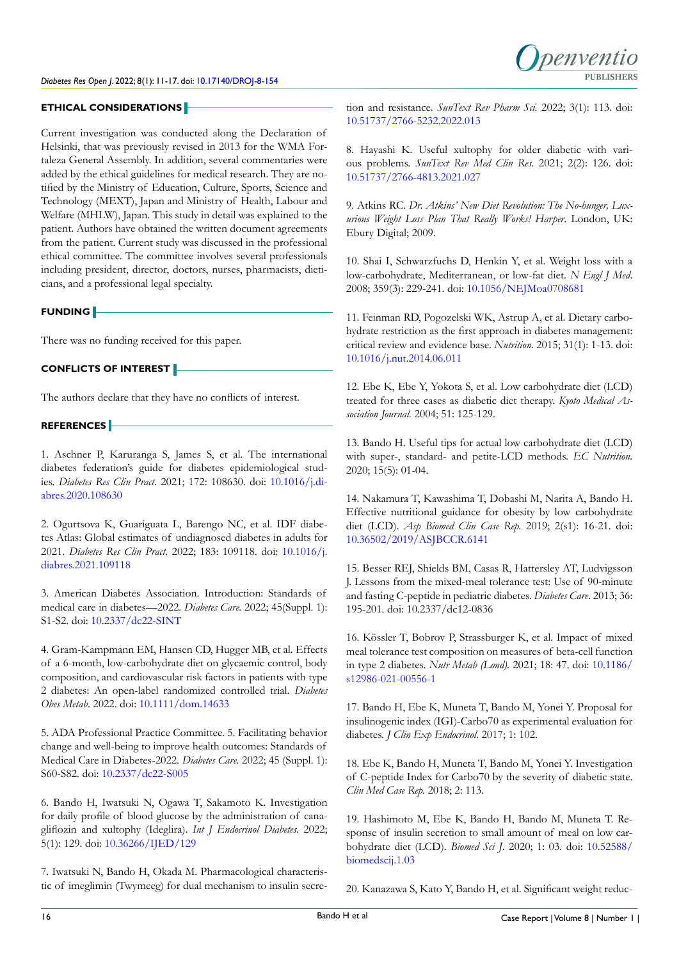

## **ETHICAL CONSIDERATIONS**

Current investigation was conducted along the Declaration of Helsinki, that was previously revised in 2013 for the WMA Fortaleza General Assembly. In addition, several commentaries were added by the ethical guidelines for medical research. They are notified by the Ministry of Education, Culture, Sports, Science and Technology (MEXT), Japan and Ministry of Health, Labour and Welfare (MHLW), Japan. This study in detail was explained to the patient. Authors have obtained the written document agreements from the patient. Current study was discussed in the professional ethical committee. The committee involves several professionals including president, director, doctors, nurses, pharmacists, dieticians, and a professional legal specialty.

## **FUNDING**

There was no funding received for this paper.

# **CONFLICTS OF INTEREST**

The authors declare that they have no conflicts of interest.

# **REFERENCES**

<span id="page-5-0"></span>1. Aschner P, Karuranga S, James S, et al. The international diabetes federation's guide for diabetes epidemiological studies. *Diabetes Res Clin Pract*. 2021; 172: 108630. doi: [10.1016/j.di](http://doi.org/10.1016/j.diabres.2020.108630)[abres.2020.108630](http://doi.org/10.1016/j.diabres.2020.108630)

<span id="page-5-1"></span>2. Ogurtsova K, Guariguata L, Barengo NC, et al. IDF diabetes Atlas: Global estimates of undiagnosed diabetes in adults for 2021. *Diabetes Res Clin Pract*. 2022; 183: 109118. doi: [10.1016/j.](http://doi.org/10.1016/j.diabres.2021.109118) [diabres.2021.109118](http://doi.org/10.1016/j.diabres.2021.109118)

<span id="page-5-2"></span>3. American Diabetes Association. Introduction: Standards of medical care in diabetes—2022. *Diabetes Care.* 2022; 45(Suppl. 1): S1-S2. doi: [10.2337/dc22-SINT](http://doi.org/10.2337/dc22-SINT)

<span id="page-5-3"></span>4. Gram-Kampmann EM, Hansen CD, Hugger MB, et al. Effects of a 6-month, low-carbohydrate diet on glycaemic control, body composition, and cardiovascular risk factors in patients with type 2 diabetes: An open-label randomized controlled trial. *Diabetes Obes Metab*. 2022. doi: [10.1111/dom.14633](http://doi.org/10.1111/dom.14633)

<span id="page-5-4"></span>5. ADA Professional Practice Committee. 5. Facilitating behavior change and well-being to improve health outcomes: Standards of Medical Care in Diabetes-2022. *Diabetes Care.* 2022; 45 (Suppl. 1): S60-S82. doi: [10.2337/dc22-S005](http://doi.org/10.2337/dc22-S005)

<span id="page-5-5"></span>6. Bando H, Iwatsuki N, Ogawa T, Sakamoto K. Investigation for daily profile of blood glucose by the administration of canagliflozin and xultophy (Ideglira). *Int J Endocrinol Diabetes.* 2022; 5(1): 129. doi: [10.36266/IJED/129](http://doi.org/10.36266/IJED/129)

<span id="page-5-6"></span>7. Iwatsuki N, Bando H, Okada M. Pharmacological characteristic of imeglimin (Twymeeg) for dual mechanism to insulin secretion and resistance. *SunText Rev Pharm Sci.* 2022; 3(1): 113. doi: [10.51737/2766-5232.2022.013](http://doi.org/10.51737/2766-5232.2022.013)

8. Hayashi K. Useful xultophy for older diabetic with various problems. *SunText Rev Med Clin Res.* 2021; 2(2): 126. doi: [10.51737/2766-4813.2021.027](http://doi.org/10.51737/2766-4813.2021.027)

<span id="page-5-7"></span>9. Atkins RC. *Dr. Atkins' New Diet Revolution: The No-hunger, Luxurious Weight Loss Plan That Really Works! Harper*. London, UK: Ebury Digital; 2009.

<span id="page-5-8"></span>10. Shai I, Schwarzfuchs D, Henkin Y, et al. Weight loss with a low-carbohydrate, Mediterranean, or low-fat diet. *N Engl J Med*. 2008; 359(3): 229-241. doi: [10.1056/NEJMoa0708681](http://doi.org/10.1056/NEJMoa0708681)

<span id="page-5-9"></span>11. Feinman RD, Pogozelski WK, Astrup A, et al. Dietary carbohydrate restriction as the first approach in diabetes management: critical review and evidence base. *Nutrition*. 2015; 31(1): 1-13. doi: [10.1016/j.nut.2014.06.011](http://doi.org/10.1016/j.nut.2014.06.011)

<span id="page-5-10"></span>12. Ebe K, Ebe Y, Yokota S, et al. Low carbohydrate diet (LCD) treated for three cases as diabetic diet therapy. *Kyoto Medical Association Journal.* 2004; 51: 125-129.

<span id="page-5-11"></span>13. Bando H. Useful tips for actual low carbohydrate diet (LCD) with super-, standard- and petite-LCD methods. *EC Nutrition.* 2020; 15(5): 01-04.

<span id="page-5-12"></span>14. Nakamura T, Kawashima T, Dobashi M, Narita A, Bando H. Effective nutritional guidance for obesity by low carbohydrate diet (LCD). *Asp Biomed Clin Case Rep.* 2019; 2(s1): 16-21. doi: [10.36502/2019/ASJBCCR.6141](http://doi.org/10.36502/2019/ASJBCCR.6141)

<span id="page-5-13"></span>15. Besser REJ, Shields BM, Casas R, Hattersley AT, Ludvigsson J. Lessons from the mixed-meal tolerance test: Use of 90-minute and fasting C-peptide in pediatric diabetes. *Diabetes Care*. 2013; 36: 195-201. doi: 10.2337/dc12-0836

<span id="page-5-14"></span>16. Kössler T, Bobrov P, Strassburger K, et al. Impact of mixed meal tolerance test composition on measures of beta-cell function in type 2 diabetes. *Nutr Metab (Lond).* 2021; 18: 47. doi: [10.1186/](http://doi.org/10.1186/s12986-021-00556-1) [s12986-021-00556-1](http://doi.org/10.1186/s12986-021-00556-1)

<span id="page-5-15"></span>17. Bando H, Ebe K, Muneta T, Bando M, Yonei Y. Proposal for insulinogenic index (IGI)-Carbo70 as experimental evaluation for diabetes. *J Clin Exp Endocrinol.* 2017; 1: 102.

<span id="page-5-16"></span>18. Ebe K, Bando H, Muneta T, Bando M, Yonei Y. Investigation of C-peptide Index for Carbo70 by the severity of diabetic state. *Clin Med Case Rep.* 2018; 2: 113.

<span id="page-5-17"></span>19. Hashimoto M, Ebe K, Bando H, Bando M, Muneta T. Response of insulin secretion to small amount of meal on low carbohydrate diet (LCD). *Biomed Sci J*. 2020; 1: 03. doi: [10.52588/](http://doi.org/10.52588/biomedscij.1.03) [biomedscij.1.03](http://doi.org/10.52588/biomedscij.1.03)

<span id="page-5-18"></span>20. Kanazawa S, Kato Y, Bando H, et al. Significant weight reduc-